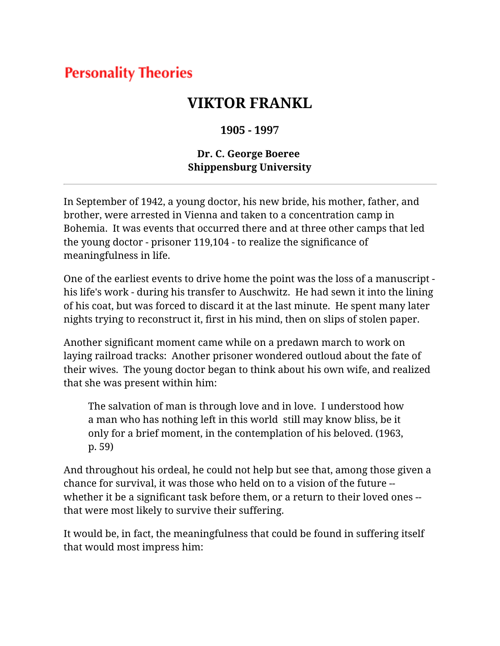# **Personality Theories**

# **VIKTOR FRANKL**

# **1905 - 1997**

## **Dr. C. George Boeree Shippensburg University**

In September of 1942, a young doctor, his new bride, his mother, father, and brother, were arrested in Vienna and taken to a concentration camp in Bohemia. It was events that occurred there and at three other camps that led the young doctor - prisoner 119,104 - to realize the significance of meaningfulness in life.

One of the earliest events to drive home the point was the loss of a manuscript his life's work - during his transfer to Auschwitz. He had sewn it into the lining of his coat, but was forced to discard it at the last minute. He spent many later nights trying to reconstruct it, first in his mind, then on slips of stolen paper.

Another significant moment came while on a predawn march to work on laying railroad tracks: Another prisoner wondered outloud about the fate of their wives. The young doctor began to think about his own wife, and realized that she was present within him:

The salvation of man is through love and in love. I understood how a man who has nothing left in this world still may know bliss, be it only for a brief moment, in the contemplation of his beloved. (1963, p. 59)

And throughout his ordeal, he could not help but see that, among those given a chance for survival, it was those who held on to a vision of the future - whether it be a significant task before them, or a return to their loved ones - that were most likely to survive their suffering.

It would be, in fact, the meaningfulness that could be found in suffering itself that would most impress him: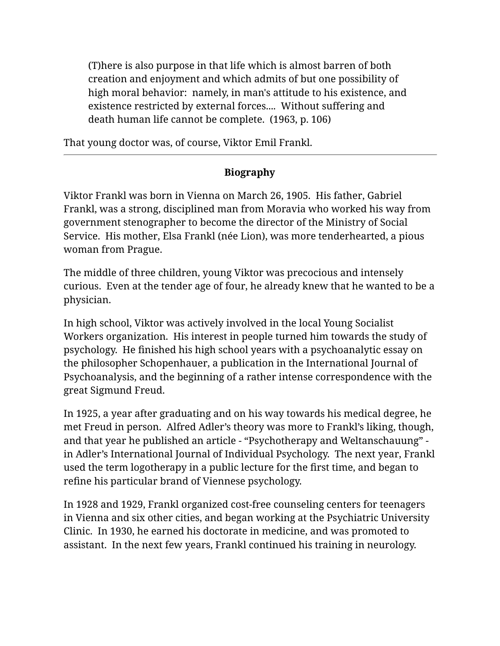(T)here is also purpose in that life which is almost barren of both creation and enjoyment and which admits of but one possibility of high moral behavior: namely, in man's attitude to his existence, and existence restricted by external forces.... Without suffering and death human life cannot be complete. (1963, p. 106)

That young doctor was, of course, Viktor Emil Frankl.

### **Biography**

Viktor Frankl was born in Vienna on March 26, 1905. His father, Gabriel Frankl, was a strong, disciplined man from Moravia who worked his way from government stenographer to become the director of the Ministry of Social Service. His mother, Elsa Frankl (née Lion), was more tenderhearted, a pious woman from Prague.

The middle of three children, young Viktor was precocious and intensely curious. Even at the tender age of four, he already knew that he wanted to be a physician.

In high school, Viktor was actively involved in the local Young Socialist Workers organization. His interest in people turned him towards the study of psychology. He finished his high school years with a psychoanalytic essay on the philosopher Schopenhauer, a publication in the International Journal of Psychoanalysis, and the beginning of a rather intense correspondence with the great Sigmund Freud.

In 1925, a year after graduating and on his way towards his medical degree, he met Freud in person. Alfred Adler's theory was more to Frankl's liking, though, and that year he published an article - "Psychotherapy and Weltanschauung" in Adler's International Journal of Individual Psychology. The next year, Frankl used the term logotherapy in a public lecture for the first time, and began to refine his particular brand of Viennese psychology.

In 1928 and 1929, Frankl organized cost-free counseling centers for teenagers in Vienna and six other cities, and began working at the Psychiatric University Clinic. In 1930, he earned his doctorate in medicine, and was promoted to assistant. In the next few years, Frankl continued his training in neurology.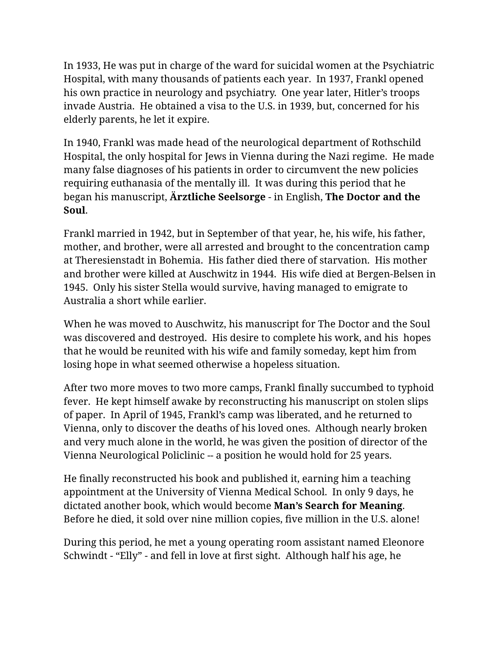In 1933, He was put in charge of the ward for suicidal women at the Psychiatric Hospital, with many thousands of patients each year. In 1937, Frankl opened his own practice in neurology and psychiatry. One year later, Hitler's troops invade Austria. He obtained a visa to the U.S. in 1939, but, concerned for his elderly parents, he let it expire.

In 1940, Frankl was made head of the neurological department of Rothschild Hospital, the only hospital for Jews in Vienna during the Nazi regime. He made many false diagnoses of his patients in order to circumvent the new policies requiring euthanasia of the mentally ill. It was during this period that he began his manuscript, **Ärztliche Seelsorge** - in English, **The Doctor and the Soul**.

Frankl married in 1942, but in September of that year, he, his wife, his father, mother, and brother, were all arrested and brought to the concentration camp at Theresienstadt in Bohemia. His father died there of starvation. His mother and brother were killed at Auschwitz in 1944. His wife died at Bergen-Belsen in 1945. Only his sister Stella would survive, having managed to emigrate to Australia a short while earlier.

When he was moved to Auschwitz, his manuscript for The Doctor and the Soul was discovered and destroyed. His desire to complete his work, and his hopes that he would be reunited with his wife and family someday, kept him from losing hope in what seemed otherwise a hopeless situation.

After two more moves to two more camps, Frankl finally succumbed to typhoid fever. He kept himself awake by reconstructing his manuscript on stolen slips of paper. In April of 1945, Frankl's camp was liberated, and he returned to Vienna, only to discover the deaths of his loved ones. Although nearly broken and very much alone in the world, he was given the position of director of the Vienna Neurological Policlinic -- a position he would hold for 25 years.

He finally reconstructed his book and published it, earning him a teaching appointment at the University of Vienna Medical School. In only 9 days, he dictated another book, which would become **Man's Search for Meaning**. Before he died, it sold over nine million copies, five million in the U.S. alone!

During this period, he met a young operating room assistant named Eleonore Schwindt - "Elly" - and fell in love at first sight. Although half his age, he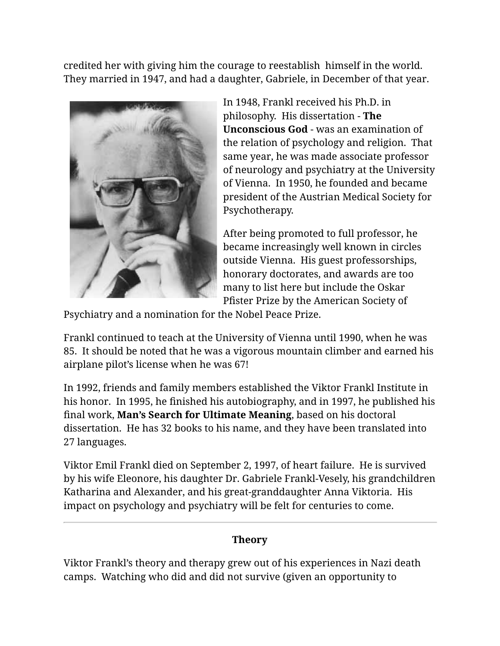credited her with giving him the courage to reestablish himself in the world. They married in 1947, and had a daughter, Gabriele, in December of that year.



In 1948, Frankl received his Ph.D. in philosophy. His dissertation - **The Unconscious God** - was an examination of the relation of psychology and religion. That same year, he was made associate professor of neurology and psychiatry at the University of Vienna. In 1950, he founded and became president of the Austrian Medical Society for Psychotherapy.

After being promoted to full professor, he became increasingly well known in circles outside Vienna. His guest professorships, honorary doctorates, and awards are too many to list here but include the Oskar Pfister Prize by the American Society of

Psychiatry and a nomination for the Nobel Peace Prize.

Frankl continued to teach at the University of Vienna until 1990, when he was 85. It should be noted that he was a vigorous mountain climber and earned his airplane pilot's license when he was 67!

In 1992, friends and family members established the Viktor Frankl Institute in his honor. In 1995, he finished his autobiography, and in 1997, he published his final work, **Man's Search for Ultimate Meaning**, based on his doctoral dissertation. He has 32 books to his name, and they have been translated into 27 languages.

Viktor Emil Frankl died on September 2, 1997, of heart failure. He is survived by his wife Eleonore, his daughter Dr. Gabriele Frankl-Vesely, his grandchildren Katharina and Alexander, and his great-granddaughter Anna Viktoria. His impact on psychology and psychiatry will be felt for centuries to come.

### **Theory**

Viktor Frankl's theory and therapy grew out of his experiences in Nazi death camps. Watching who did and did not survive (given an opportunity to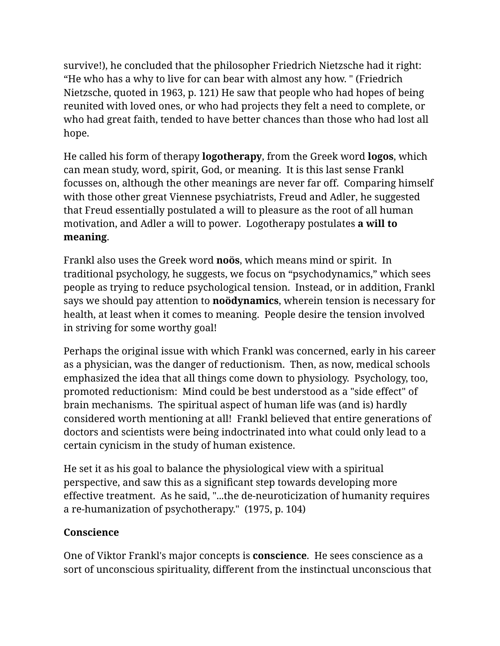survive!), he concluded that the philosopher Friedrich Nietzsche had it right: "He who has a why to live for can bear with almost any how. " (Friedrich Nietzsche, quoted in 1963, p. 121) He saw that people who had hopes of being reunited with loved ones, or who had projects they felt a need to complete, or who had great faith, tended to have better chances than those who had lost all hope.

He called his form of therapy **logotherapy**, from the Greek word **logos**, which can mean study, word, spirit, God, or meaning. It is this last sense Frankl focusses on, although the other meanings are never far off. Comparing himself with those other great Viennese psychiatrists, Freud and Adler, he suggested that Freud essentially postulated a will to pleasure as the root of all human motivation, and Adler a will to power. Logotherapy postulates **a will to meaning**.

Frankl also uses the Greek word **noös**, which means mind or spirit. In traditional psychology, he suggests, we focus on "psychodynamics," which sees people as trying to reduce psychological tension. Instead, or in addition, Frankl says we should pay attention to **noödynamics**, wherein tension is necessary for health, at least when it comes to meaning. People desire the tension involved in striving for some worthy goal!

Perhaps the original issue with which Frankl was concerned, early in his career as a physician, was the danger of reductionism. Then, as now, medical schools emphasized the idea that all things come down to physiology. Psychology, too, promoted reductionism: Mind could be best understood as a "side effect" of brain mechanisms. The spiritual aspect of human life was (and is) hardly considered worth mentioning at all! Frankl believed that entire generations of doctors and scientists were being indoctrinated into what could only lead to a certain cynicism in the study of human existence.

He set it as his goal to balance the physiological view with a spiritual perspective, and saw this as a significant step towards developing more effective treatment. As he said, "...the de-neuroticization of humanity requires a re-humanization of psychotherapy." (1975, p. 104)

# **Conscience**

One of Viktor Frankl's major concepts is **conscience**. He sees conscience as a sort of unconscious spirituality, different from the instinctual unconscious that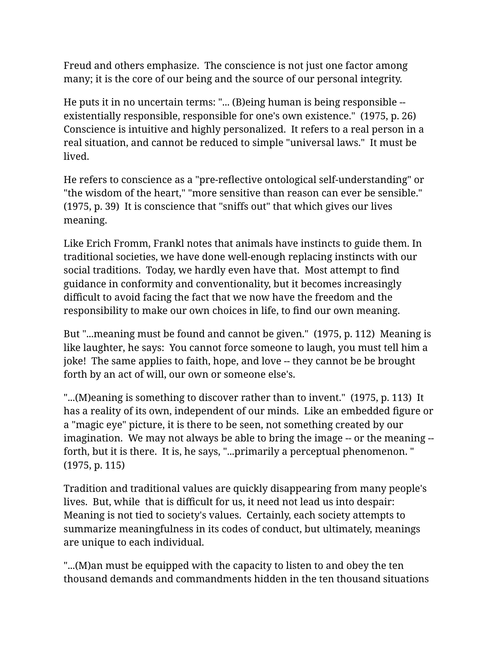Freud and others emphasize. The conscience is not just one factor among many; it is the core of our being and the source of our personal integrity.

He puts it in no uncertain terms: "... (B)eing human is being responsible - existentially responsible, responsible for one's own existence." (1975, p. 26) Conscience is intuitive and highly personalized. It refers to a real person in a real situation, and cannot be reduced to simple "universal laws." It must be lived.

He refers to conscience as a "pre-reflective ontological self-understanding" or "the wisdom of the heart," "more sensitive than reason can ever be sensible." (1975, p. 39) It is conscience that "sniffs out" that which gives our lives meaning.

Like Erich Fromm, Frankl notes that animals have instincts to guide them. In traditional societies, we have done well-enough replacing instincts with our social traditions. Today, we hardly even have that. Most attempt to find guidance in conformity and conventionality, but it becomes increasingly difficult to avoid facing the fact that we now have the freedom and the responsibility to make our own choices in life, to find our own meaning.

But "...meaning must be found and cannot be given." (1975, p. 112) Meaning is like laughter, he says: You cannot force someone to laugh, you must tell him a joke! The same applies to faith, hope, and love -- they cannot be be brought forth by an act of will, our own or someone else's.

"...(M)eaning is something to discover rather than to invent." (1975, p. 113) It has a reality of its own, independent of our minds. Like an embedded figure or a "magic eye" picture, it is there to be seen, not something created by our imagination. We may not always be able to bring the image -- or the meaning - forth, but it is there. It is, he says, "...primarily a perceptual phenomenon. " (1975, p. 115)

Tradition and traditional values are quickly disappearing from many people's lives. But, while that is difficult for us, it need not lead us into despair: Meaning is not tied to society's values. Certainly, each society attempts to summarize meaningfulness in its codes of conduct, but ultimately, meanings are unique to each individual.

"...(M)an must be equipped with the capacity to listen to and obey the ten thousand demands and commandments hidden in the ten thousand situations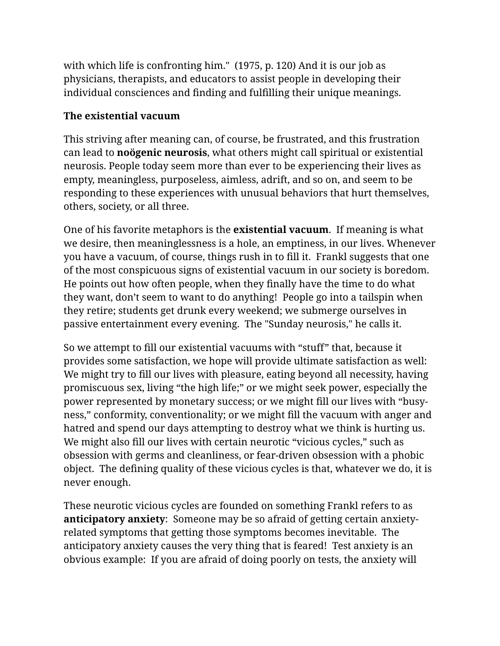with which life is confronting him." (1975, p. 120) And it is our job as physicians, therapists, and educators to assist people in developing their individual consciences and finding and fulfilling their unique meanings.

## **The existential vacuum**

This striving after meaning can, of course, be frustrated, and this frustration can lead to **noögenic neurosis**, what others might call spiritual or existential neurosis. People today seem more than ever to be experiencing their lives as empty, meaningless, purposeless, aimless, adrift, and so on, and seem to be responding to these experiences with unusual behaviors that hurt themselves, others, society, or all three.

One of his favorite metaphors is the **existential vacuum**. If meaning is what we desire, then meaninglessness is a hole, an emptiness, in our lives. Whenever you have a vacuum, of course, things rush in to fill it. Frankl suggests that one of the most conspicuous signs of existential vacuum in our society is boredom. He points out how often people, when they finally have the time to do what they want, don't seem to want to do anything! People go into a tailspin when they retire; students get drunk every weekend; we submerge ourselves in passive entertainment every evening. The "Sunday neurosis," he calls it.

So we attempt to fill our existential vacuums with "stuff" that, because it provides some satisfaction, we hope will provide ultimate satisfaction as well: We might try to fill our lives with pleasure, eating beyond all necessity, having promiscuous sex, living "the high life;" or we might seek power, especially the power represented by monetary success; or we might fill our lives with "busyness," conformity, conventionality; or we might fill the vacuum with anger and hatred and spend our days attempting to destroy what we think is hurting us. We might also fill our lives with certain neurotic "vicious cycles," such as obsession with germs and cleanliness, or fear-driven obsession with a phobic object. The defining quality of these vicious cycles is that, whatever we do, it is never enough.

These neurotic vicious cycles are founded on something Frankl refers to as **anticipatory anxiety**: Someone may be so afraid of getting certain anxietyrelated symptoms that getting those symptoms becomes inevitable. The anticipatory anxiety causes the very thing that is feared! Test anxiety is an obvious example: If you are afraid of doing poorly on tests, the anxiety will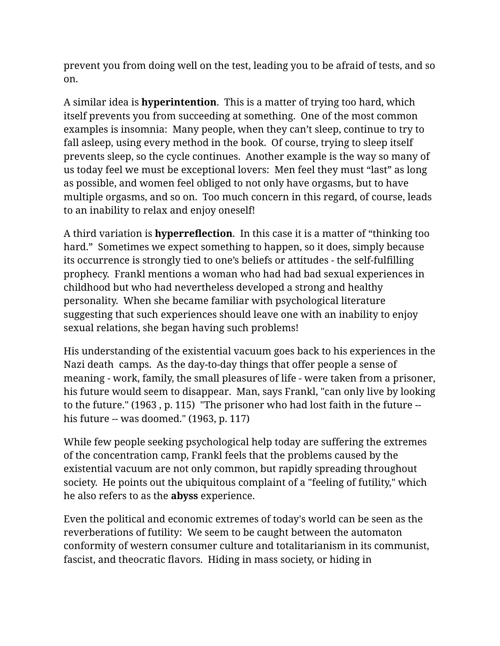prevent you from doing well on the test, leading you to be afraid of tests, and so on.

A similar idea is **hyperintention**. This is a matter of trying too hard, which itself prevents you from succeeding at something. One of the most common examples is insomnia: Many people, when they can't sleep, continue to try to fall asleep, using every method in the book. Of course, trying to sleep itself prevents sleep, so the cycle continues. Another example is the way so many of us today feel we must be exceptional lovers: Men feel they must "last" as long as possible, and women feel obliged to not only have orgasms, but to have multiple orgasms, and so on. Too much concern in this regard, of course, leads to an inability to relax and enjoy oneself!

A third variation is **hyperreflection**. In this case it is a matter of "thinking too hard." Sometimes we expect something to happen, so it does, simply because its occurrence is strongly tied to one's beliefs or attitudes - the self-fulfilling prophecy. Frankl mentions a woman who had had bad sexual experiences in childhood but who had nevertheless developed a strong and healthy personality. When she became familiar with psychological literature suggesting that such experiences should leave one with an inability to enjoy sexual relations, she began having such problems!

His understanding of the existential vacuum goes back to his experiences in the Nazi death camps. As the day-to-day things that offer people a sense of meaning - work, family, the small pleasures of life - were taken from a prisoner, his future would seem to disappear. Man, says Frankl, "can only live by looking to the future." (1963 , p. 115) "The prisoner who had lost faith in the future - his future -- was doomed." (1963, p. 117)

While few people seeking psychological help today are suffering the extremes of the concentration camp, Frankl feels that the problems caused by the existential vacuum are not only common, but rapidly spreading throughout society. He points out the ubiquitous complaint of a "feeling of futility," which he also refers to as the **abyss** experience.

Even the political and economic extremes of today's world can be seen as the reverberations of futility: We seem to be caught between the automaton conformity of western consumer culture and totalitarianism in its communist, fascist, and theocratic flavors. Hiding in mass society, or hiding in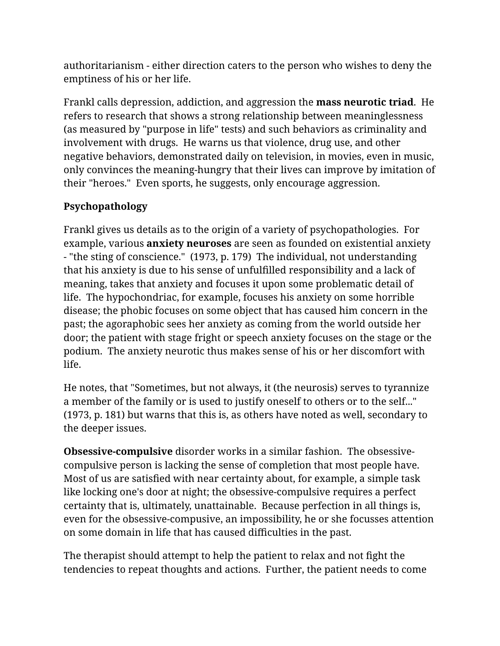authoritarianism - either direction caters to the person who wishes to deny the emptiness of his or her life.

Frankl calls depression, addiction, and aggression the **mass neurotic triad**. He refers to research that shows a strong relationship between meaninglessness (as measured by "purpose in life" tests) and such behaviors as criminality and involvement with drugs. He warns us that violence, drug use, and other negative behaviors, demonstrated daily on television, in movies, even in music, only convinces the meaning-hungry that their lives can improve by imitation of their "heroes." Even sports, he suggests, only encourage aggression.

# **Psychopathology**

Frankl gives us details as to the origin of a variety of psychopathologies. For example, various **anxiety neuroses** are seen as founded on existential anxiety - "the sting of conscience." (1973, p. 179) The individual, not understanding that his anxiety is due to his sense of unfulfilled responsibility and a lack of meaning, takes that anxiety and focuses it upon some problematic detail of life. The hypochondriac, for example, focuses his anxiety on some horrible disease; the phobic focuses on some object that has caused him concern in the past; the agoraphobic sees her anxiety as coming from the world outside her door; the patient with stage fright or speech anxiety focuses on the stage or the podium. The anxiety neurotic thus makes sense of his or her discomfort with life.

He notes, that "Sometimes, but not always, it (the neurosis) serves to tyrannize a member of the family or is used to justify oneself to others or to the self..." (1973, p. 181) but warns that this is, as others have noted as well, secondary to the deeper issues.

**Obsessive-compulsive** disorder works in a similar fashion. The obsessivecompulsive person is lacking the sense of completion that most people have. Most of us are satisfied with near certainty about, for example, a simple task like locking one's door at night; the obsessive-compulsive requires a perfect certainty that is, ultimately, unattainable. Because perfection in all things is, even for the obsessive-compusive, an impossibility, he or she focusses attention on some domain in life that has caused difficulties in the past.

The therapist should attempt to help the patient to relax and not fight the tendencies to repeat thoughts and actions. Further, the patient needs to come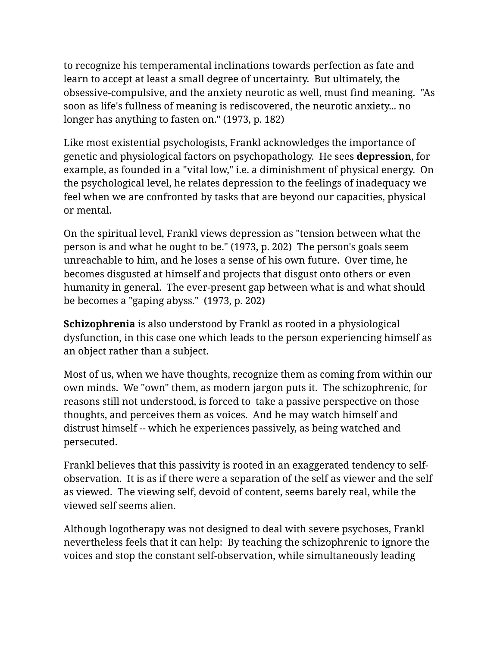to recognize his temperamental inclinations towards perfection as fate and learn to accept at least a small degree of uncertainty. But ultimately, the obsessive-compulsive, and the anxiety neurotic as well, must find meaning. "As soon as life's fullness of meaning is rediscovered, the neurotic anxiety... no longer has anything to fasten on." (1973, p. 182)

Like most existential psychologists, Frankl acknowledges the importance of genetic and physiological factors on psychopathology. He sees **depression**, for example, as founded in a "vital low," i.e. a diminishment of physical energy. On the psychological level, he relates depression to the feelings of inadequacy we feel when we are confronted by tasks that are beyond our capacities, physical or mental.

On the spiritual level, Frankl views depression as "tension between what the person is and what he ought to be." (1973, p. 202) The person's goals seem unreachable to him, and he loses a sense of his own future. Over time, he becomes disgusted at himself and projects that disgust onto others or even humanity in general. The ever-present gap between what is and what should be becomes a "gaping abyss." (1973, p. 202)

**Schizophrenia** is also understood by Frankl as rooted in a physiological dysfunction, in this case one which leads to the person experiencing himself as an object rather than a subject.

Most of us, when we have thoughts, recognize them as coming from within our own minds. We "own" them, as modern jargon puts it. The schizophrenic, for reasons still not understood, is forced to take a passive perspective on those thoughts, and perceives them as voices. And he may watch himself and distrust himself -- which he experiences passively, as being watched and persecuted.

Frankl believes that this passivity is rooted in an exaggerated tendency to selfobservation. It is as if there were a separation of the self as viewer and the self as viewed. The viewing self, devoid of content, seems barely real, while the viewed self seems alien.

Although logotherapy was not designed to deal with severe psychoses, Frankl nevertheless feels that it can help: By teaching the schizophrenic to ignore the voices and stop the constant self-observation, while simultaneously leading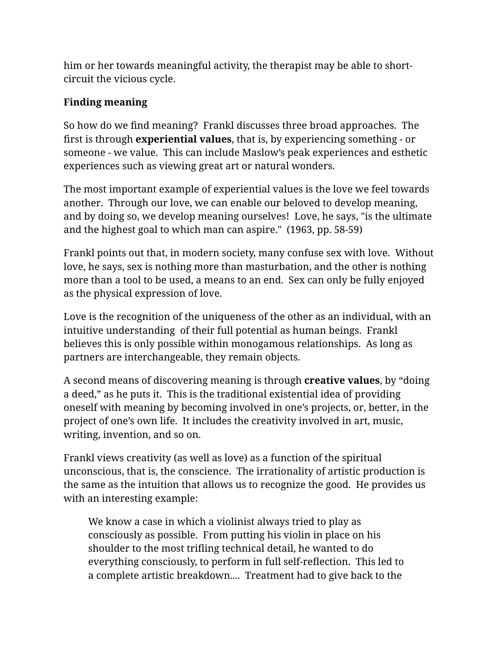him or her towards meaningful activity, the therapist may be able to shortcircuit the vicious cycle.

## **Finding meaning**

So how do we find meaning? Frankl discusses three broad approaches. The first is through **experiential values**, that is, by experiencing something - or someone - we value. This can include Maslow's peak experiences and esthetic experiences such as viewing great art or natural wonders.

The most important example of experiential values is the love we feel towards another. Through our love, we can enable our beloved to develop meaning, and by doing so, we develop meaning ourselves! Love, he says, "is the ultimate and the highest goal to which man can aspire." (1963, pp. 58-59)

Frankl points out that, in modern society, many confuse sex with love. Without love, he says, sex is nothing more than masturbation, and the other is nothing more than a tool to be used, a means to an end. Sex can only be fully enjoyed as the physical expression of love.

Love is the recognition of the uniqueness of the other as an individual, with an intuitive understanding of their full potential as human beings. Frankl believes this is only possible within monogamous relationships. As long as partners are interchangeable, they remain objects.

A second means of discovering meaning is through **creative values**, by "doing a deed," as he puts it. This is the traditional existential idea of providing oneself with meaning by becoming involved in one's projects, or, better, in the project of one's own life. It includes the creativity involved in art, music, writing, invention, and so on.

Frankl views creativity (as well as love) as a function of the spiritual unconscious, that is, the conscience. The irrationality of artistic production is the same as the intuition that allows us to recognize the good. He provides us with an interesting example:

We know a case in which a violinist always tried to play as consciously as possible. From putting his violin in place on his shoulder to the most trifling technical detail, he wanted to do everything consciously, to perform in full self-reflection. This led to a complete artistic breakdown.... Treatment had to give back to the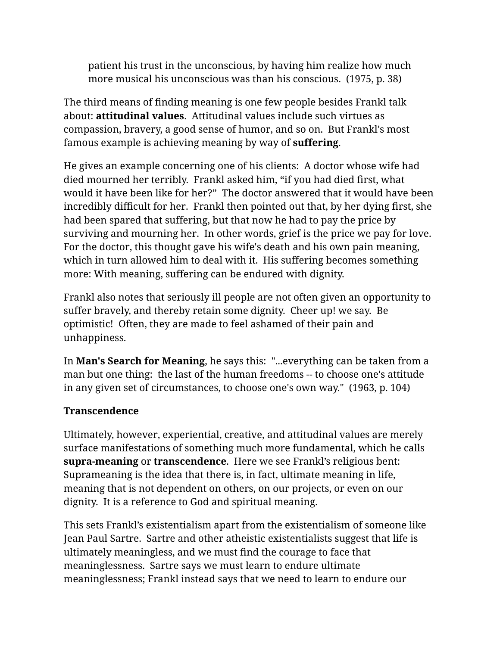patient his trust in the unconscious, by having him realize how much more musical his unconscious was than his conscious. (1975, p. 38)

The third means of finding meaning is one few people besides Frankl talk about: **attitudinal values**. Attitudinal values include such virtues as compassion, bravery, a good sense of humor, and so on. But Frankl's most famous example is achieving meaning by way of **suffering**.

He gives an example concerning one of his clients: A doctor whose wife had died mourned her terribly. Frankl asked him, "if you had died first, what would it have been like for her?" The doctor answered that it would have been incredibly difficult for her. Frankl then pointed out that, by her dying first, she had been spared that suffering, but that now he had to pay the price by surviving and mourning her. In other words, grief is the price we pay for love. For the doctor, this thought gave his wife's death and his own pain meaning, which in turn allowed him to deal with it. His suffering becomes something more: With meaning, suffering can be endured with dignity.

Frankl also notes that seriously ill people are not often given an opportunity to suffer bravely, and thereby retain some dignity. Cheer up! we say. Be optimistic! Often, they are made to feel ashamed of their pain and unhappiness.

In **Man's Search for Meaning**, he says this: "...everything can be taken from a man but one thing: the last of the human freedoms -- to choose one's attitude in any given set of circumstances, to choose one's own way." (1963, p. 104)

### **Transcendence**

Ultimately, however, experiential, creative, and attitudinal values are merely surface manifestations of something much more fundamental, which he calls **supra-meaning** or **transcendence**. Here we see Frankl's religious bent: Suprameaning is the idea that there is, in fact, ultimate meaning in life, meaning that is not dependent on others, on our projects, or even on our dignity. It is a reference to God and spiritual meaning.

This sets Frankl's existentialism apart from the existentialism of someone like Jean Paul Sartre. Sartre and other atheistic existentialists suggest that life is ultimately meaningless, and we must find the courage to face that meaninglessness. Sartre says we must learn to endure ultimate meaninglessness; Frankl instead says that we need to learn to endure our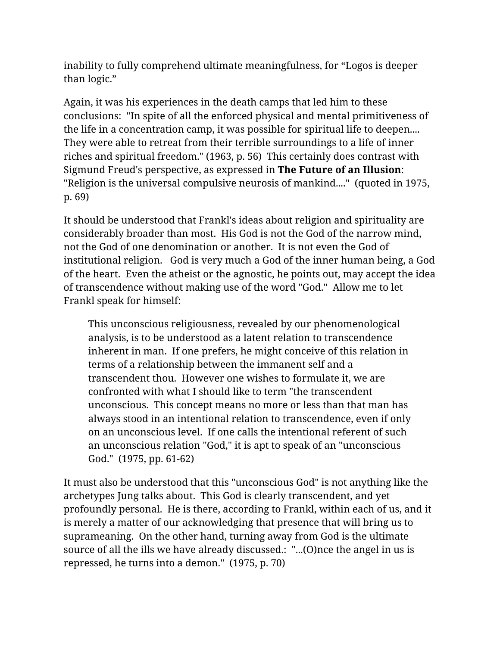inability to fully comprehend ultimate meaningfulness, for "Logos is deeper than logic."

Again, it was his experiences in the death camps that led him to these conclusions: "In spite of all the enforced physical and mental primitiveness of the life in a concentration camp, it was possible for spiritual life to deepen.... They were able to retreat from their terrible surroundings to a life of inner riches and spiritual freedom." (1963, p. 56) This certainly does contrast with Sigmund Freud's perspective, as expressed in **The Future of an Illusion**: "Religion is the universal compulsive neurosis of mankind...." (quoted in 1975, p. 69)

It should be understood that Frankl's ideas about religion and spirituality are considerably broader than most. His God is not the God of the narrow mind, not the God of one denomination or another. It is not even the God of institutional religion. God is very much a God of the inner human being, a God of the heart. Even the atheist or the agnostic, he points out, may accept the idea of transcendence without making use of the word "God." Allow me to let Frankl speak for himself:

This unconscious religiousness, revealed by our phenomenological analysis, is to be understood as a latent relation to transcendence inherent in man. If one prefers, he might conceive of this relation in terms of a relationship between the immanent self and a transcendent thou. However one wishes to formulate it, we are confronted with what I should like to term "the transcendent unconscious. This concept means no more or less than that man has always stood in an intentional relation to transcendence, even if only on an unconscious level. If one calls the intentional referent of such an unconscious relation "God," it is apt to speak of an "unconscious God." (1975, pp. 61-62)

It must also be understood that this "unconscious God" is not anything like the archetypes Jung talks about. This God is clearly transcendent, and yet profoundly personal. He is there, according to Frankl, within each of us, and it is merely a matter of our acknowledging that presence that will bring us to suprameaning. On the other hand, turning away from God is the ultimate source of all the ills we have already discussed.: "...(O)nce the angel in us is repressed, he turns into a demon." (1975, p. 70)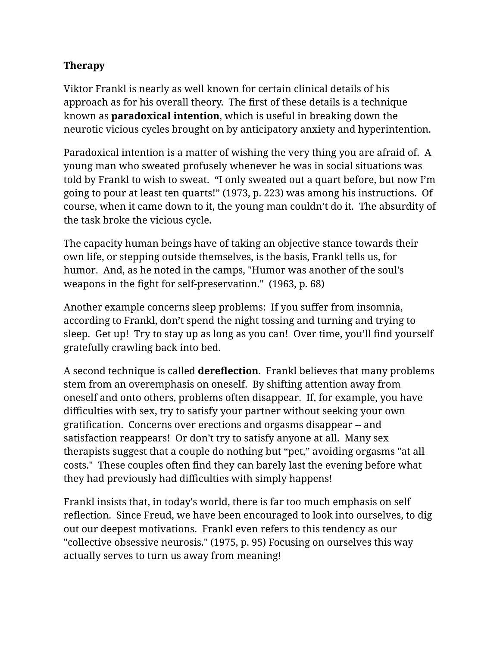# **Therapy**

Viktor Frankl is nearly as well known for certain clinical details of his approach as for his overall theory. The first of these details is a technique known as **paradoxical intention**, which is useful in breaking down the neurotic vicious cycles brought on by anticipatory anxiety and hyperintention.

Paradoxical intention is a matter of wishing the very thing you are afraid of. A young man who sweated profusely whenever he was in social situations was told by Frankl to wish to sweat. "I only sweated out a quart before, but now I'm going to pour at least ten quarts!" (1973, p. 223) was among his instructions. Of course, when it came down to it, the young man couldn't do it. The absurdity of the task broke the vicious cycle.

The capacity human beings have of taking an objective stance towards their own life, or stepping outside themselves, is the basis, Frankl tells us, for humor. And, as he noted in the camps, "Humor was another of the soul's weapons in the fight for self-preservation." (1963, p. 68)

Another example concerns sleep problems: If you suffer from insomnia, according to Frankl, don't spend the night tossing and turning and trying to sleep. Get up! Try to stay up as long as you can! Over time, you'll find yourself gratefully crawling back into bed.

A second technique is called **dereflection**. Frankl believes that many problems stem from an overemphasis on oneself. By shifting attention away from oneself and onto others, problems often disappear. If, for example, you have difficulties with sex, try to satisfy your partner without seeking your own gratification. Concerns over erections and orgasms disappear -- and satisfaction reappears! Or don't try to satisfy anyone at all. Many sex therapists suggest that a couple do nothing but "pet," avoiding orgasms "at all costs." These couples often find they can barely last the evening before what they had previously had difficulties with simply happens!

Frankl insists that, in today's world, there is far too much emphasis on self reflection. Since Freud, we have been encouraged to look into ourselves, to dig out our deepest motivations. Frankl even refers to this tendency as our "collective obsessive neurosis." (1975, p. 95) Focusing on ourselves this way actually serves to turn us away from meaning!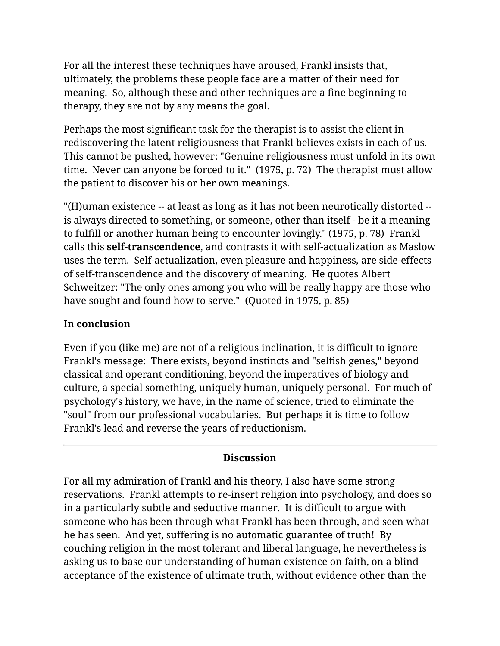For all the interest these techniques have aroused, Frankl insists that, ultimately, the problems these people face are a matter of their need for meaning. So, although these and other techniques are a fine beginning to therapy, they are not by any means the goal.

Perhaps the most significant task for the therapist is to assist the client in rediscovering the latent religiousness that Frankl believes exists in each of us. This cannot be pushed, however: "Genuine religiousness must unfold in its own time. Never can anyone be forced to it." (1975, p. 72) The therapist must allow the patient to discover his or her own meanings.

"(H)uman existence -- at least as long as it has not been neurotically distorted - is always directed to something, or someone, other than itself - be it a meaning to fulfill or another human being to encounter lovingly." (1975, p. 78) Frankl calls this **self-transcendence**, and contrasts it with self-actualization as Maslow uses the term. Self-actualization, even pleasure and happiness, are side-effects of self-transcendence and the discovery of meaning. He quotes Albert Schweitzer: "The only ones among you who will be really happy are those who have sought and found how to serve." (Quoted in 1975, p. 85)

#### **In conclusion**

Even if you (like me) are not of a religious inclination, it is difficult to ignore Frankl's message: There exists, beyond instincts and "selfish genes," beyond classical and operant conditioning, beyond the imperatives of biology and culture, a special something, uniquely human, uniquely personal. For much of psychology's history, we have, in the name of science, tried to eliminate the "soul" from our professional vocabularies. But perhaps it is time to follow Frankl's lead and reverse the years of reductionism.

#### **Discussion**

For all my admiration of Frankl and his theory, I also have some strong reservations. Frankl attempts to re-insert religion into psychology, and does so in a particularly subtle and seductive manner. It is difficult to argue with someone who has been through what Frankl has been through, and seen what he has seen. And yet, suffering is no automatic guarantee of truth! By couching religion in the most tolerant and liberal language, he nevertheless is asking us to base our understanding of human existence on faith, on a blind acceptance of the existence of ultimate truth, without evidence other than the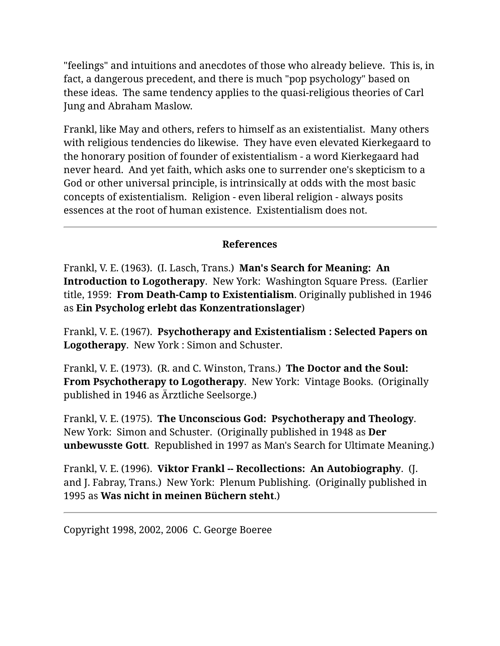"feelings" and intuitions and anecdotes of those who already believe. This is, in fact, a dangerous precedent, and there is much "pop psychology" based on these ideas. The same tendency applies to the quasi-religious theories of Carl Jung and Abraham Maslow.

Frankl, like May and others, refers to himself as an existentialist. Many others with religious tendencies do likewise. They have even elevated Kierkegaard to the honorary position of founder of existentialism - a word Kierkegaard had never heard. And yet faith, which asks one to surrender one's skepticism to a God or other universal principle, is intrinsically at odds with the most basic concepts of existentialism. Religion - even liberal religion - always posits essences at the root of human existence. Existentialism does not.

#### **References**

Frankl, V. E. (1963). (I. Lasch, Trans.) **Man's Search for Meaning: An Introduction to Logotherapy**. New York: Washington Square Press. (Earlier title, 1959: **From Death-Camp to Existentialism**. Originally published in 1946 as **Ein Psycholog erlebt das Konzentrationslager**)

Frankl, V. E. (1967). **Psychotherapy and Existentialism : Selected Papers on Logotherapy**. New York : Simon and Schuster.

Frankl, V. E. (1973). (R. and C. Winston, Trans.) **The Doctor and the Soul: From Psychotherapy to Logotherapy**. New York: Vintage Books. (Originally published in 1946 as Ärztliche Seelsorge.)

Frankl, V. E. (1975). **The Unconscious God: Psychotherapy and Theology**. New York: Simon and Schuster. (Originally published in 1948 as **Der unbewusste Gott**. Republished in 1997 as Man's Search for Ultimate Meaning.)

Frankl, V. E. (1996). **Viktor Frankl -- Recollections: An Autobiography**. (J. and J. Fabray, Trans.) New York: Plenum Publishing. (Originally published in 1995 as **Was nicht in meinen Büchern steht**.)

Copyright 1998, 2002, 2006 C. George Boeree